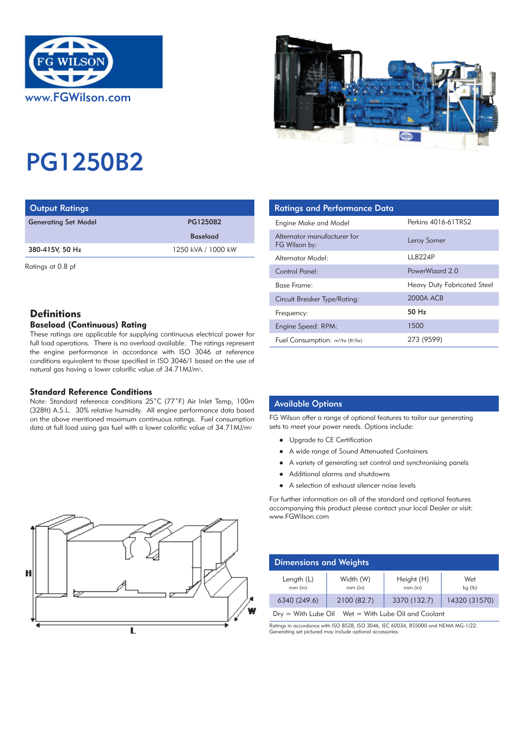



# PG1250B2

| <b>Output Ratings</b>                 |                 | <b>Ratings and Performance Data</b> |
|---------------------------------------|-----------------|-------------------------------------|
| <b>Generating Set Model</b>           | <b>PG1250B2</b> | Engine Make and Model               |
|                                       | <b>Baseload</b> | Alternator manufacturer for         |
| 1250 kVA / 1000 kW<br>380-415V, 50 Hz |                 | FG Wilson by:                       |
|                                       |                 | Alternator Model:                   |

Ratings at 0.8 pf

# **Definitions**

# Baseload (Continuous) Rating

These ratings are applicable for supplying continuous electrical power for full load operations. There is no overload available. The ratings represent the engine performance in accordance with ISO 3046 at reference conditions equivalent to those specified in ISO 3046/1 based on the use of natural gas having a lower calorific value of 34.71MJ/m<sup>3</sup>.

## Standard Reference Conditions

Note: Standard reference conditions 25˚C (77˚F) Air Inlet Temp, 100m (328ft) A.S.L. 30% relative humidity. All engine performance data based on the above mentioned maximum continuous ratings. Fuel consumption data at full load using gas fuel with a lower calorific value of 34.71 MJ/m<sup>3.</sup>

| <b>Ratings and Performance Data</b>          |                             |
|----------------------------------------------|-----------------------------|
| Engine Make and Model                        | Perkins 4016-61TRS2         |
| Alternator manufacturer for<br>FG Wilson by: | Leroy Somer                 |
| Alternator Model:                            | LL8224P                     |
| Control Panel:                               | PowerWizard 2.0             |
| Base Frame:                                  | Heavy Duty Fabricated Steel |
| <b>Circuit Breaker Type/Rating:</b>          | 2000A ACB                   |
| Frequency:                                   | 50 Hz                       |
| Engine Speed: RPM:                           | 1500                        |
| Fuel Consumption: $m^3/hr$ (ft $^3/hr$ )     | 273 (9599)                  |

## Available Options

FG Wilson offer a range of optional features to tailor our generating sets to meet your power needs. Options include:

- Upgrade to CE Certification
- A wide range of Sound Attenuated Containers
- A variety of generating set control and synchronising panels
- Additional alarms and shutdowns
- A selection of exhaust silencer noise levels

For further information on all of the standard and optional features accompanying this product please contact your local Dealer or visit: www.FGWilson.com

| <b>September 19</b><br>e | D             |
|--------------------------|---------------|
|                          | $\epsilon$    |
| w                        | Dr            |
|                          | Ratin<br>Gene |

| <b>Dimensions and Weights</b>                         |                      |                       |                |  |
|-------------------------------------------------------|----------------------|-----------------------|----------------|--|
| Length (L)<br>mm (in)                                 | Width (W)<br>mm (in) | Height (H)<br>mm (in) | Wet<br>kg (lb) |  |
| 6340 (249.6)                                          | 2100 (82.7)          | 3370 (132.7)          | 14320 (31570)  |  |
| $Dry = With Lube Oil$ Wet = With Lube Oil and Coolant |                      |                       |                |  |

Ratings in accordance with ISO 8528, ISO 3046, IEC 60034, BS5000 and NEMA MG-1/22. orating set pictured may include optional accessories.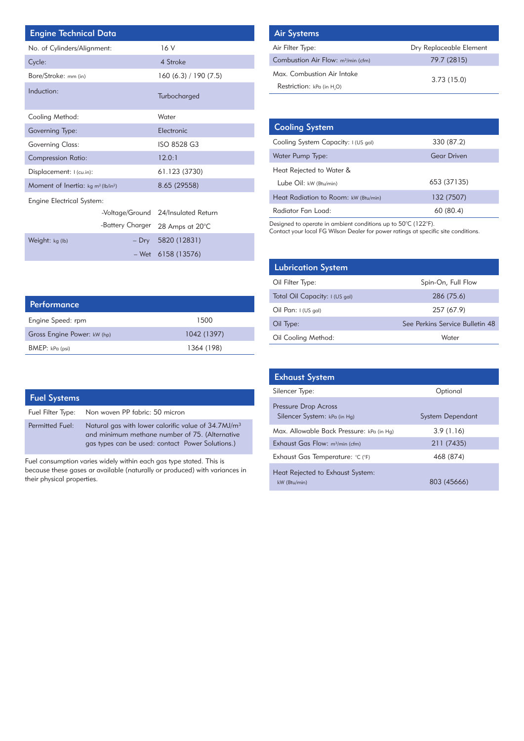| <b>Engine Technical Data</b>          |                  |                     |  | <b>Air Systems</b>                       |
|---------------------------------------|------------------|---------------------|--|------------------------------------------|
| No. of Cylinders/Alignment:           |                  | 16 V                |  | Air Filter Type:                         |
| Cycle:                                |                  | 4 Stroke            |  | <b>Combustion Air</b>                    |
| Bore/Stroke: mm (in)                  |                  | 160(6.3)/190(7.5)   |  | Max. Combusti                            |
| Induction:                            |                  | Turbocharged        |  | Restriction: kP                          |
| Cooling Method:                       |                  | Water               |  |                                          |
| Governing Type:                       |                  | Electronic          |  | <b>Cooling Sys</b>                       |
| Governing Class:                      |                  | ISO 8528 G3         |  | Cooling System                           |
| <b>Compression Ratio:</b>             |                  | 12.0:1              |  | Water Pump Ty                            |
| Displacement: I (cu.in):              |                  | 61.123 (3730)       |  | Heat Rejected                            |
| Moment of Inertia: $kg m^2 (lb/in^2)$ |                  | 8.65 (29558)        |  | Lube Oil: kw (                           |
| <b>Engine Electrical System:</b>      |                  |                     |  | <b>Heat Radiation</b>                    |
|                                       | -Voltage/Ground  | 24/Insulated Return |  | Radiator Fan L                           |
|                                       | -Battery Charger | 28 Amps at 20°C     |  | Designed to operat<br>Contact your local |
| Weight: kg (lb)                       | $-$ Dry          | 5820 (12831)        |  |                                          |
|                                       | – Wet            | 6158 (13576)        |  |                                          |

| <b>Air Systems</b>                             |                         |
|------------------------------------------------|-------------------------|
| Air Filter Type:                               | Dry Replaceable Element |
| Combustion Air Flow: m <sup>3</sup> /min (cfm) | 79.7 (2815)             |
| Max. Combustion Air Intake                     | 3.73(15.0)              |
| Restriction: kPa (in H.O)                      |                         |

| <b>Cooling System</b>                |                    |
|--------------------------------------|--------------------|
| Cooling System Capacity: I (US gal)  | 330 (87.2)         |
| Water Pump Type:                     | <b>Gear Driven</b> |
| Heat Rejected to Water &             |                    |
| Lube Oil: kW (Btu/min)               | 653 (37135)        |
| Heat Radiation to Room: kW (Btu/min) | 132 (7507)         |
| Radiator Fan Load:                   | 60 (80.4)          |

Designed to operate in ambient conditions up to 50°C (122°F).

Contact your local FG Wilson Dealer for power ratings at specific site conditions.

| <b>Lubrication System</b>      |                                 |
|--------------------------------|---------------------------------|
| Oil Filter Type:               | Spin-On, Full Flow              |
| Total Oil Capacity: I (US gal) | 286 (75.6)                      |
| Oil Pan: $1$ (US gal)          | 257 (67.9)                      |
| Oil Type:                      | See Perkins Service Bulletin 48 |
| Oil Cooling Method:            | Water                           |

| <b>Performance</b>          |             |
|-----------------------------|-------------|
| Engine Speed: rpm           | 1500        |
| Gross Engine Power: kW (hp) | 1042 (1397) |
| BMEP: kPa (psi)             | 1364 (198)  |
|                             |             |

| <b>Fuel Systems</b>    |                                                                                                                                                                       |
|------------------------|-----------------------------------------------------------------------------------------------------------------------------------------------------------------------|
|                        | Fuel Filter Type: Non woven PP fabric: 50 micron                                                                                                                      |
| <b>Permitted Fuel:</b> | Natural gas with lower calorific value of 34.7MJ/m <sup>3</sup><br>and minimum methane number of 75. (Alternative<br>gas types can be used: contact Power Solutions.) |

Fuel consumption varies widely within each gas type stated. This is because these gases ar available (naturally or produced) with variances in their physical properties.

| <b>Exhaust System</b>                                |                  |
|------------------------------------------------------|------------------|
| Silencer Type:                                       | Optional         |
| Pressure Drop Across<br>Silencer System: kPa (in Hq) | System Dependant |
| Max. Allowable Back Pressure: kPa (in Hg)            | 3.9(1.16)        |
| Exhaust Gas Flow: m <sup>3</sup> /min (cfm)          | 211 (7435)       |
| Exhaust Gas Temperature: °C (°F)                     | 468 (874)        |
| Heat Rejected to Exhaust System:<br>kW (Btu/min)     | 803 (45666)      |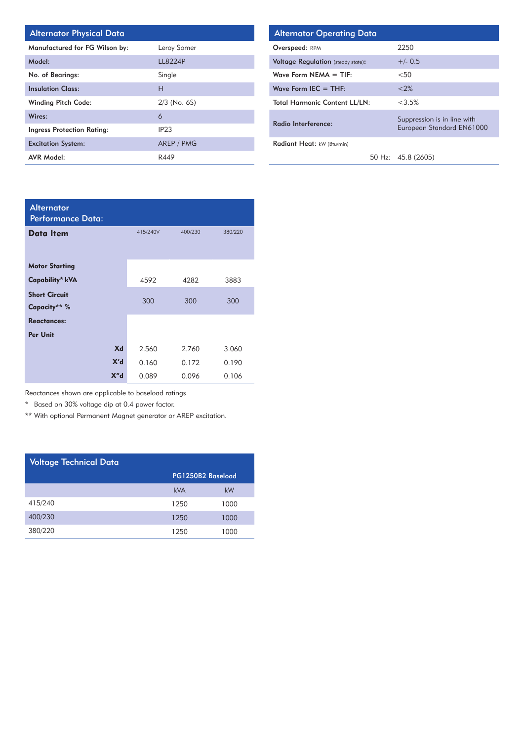| <b>Alternator Physical Date</b> |  |  |  |
|---------------------------------|--|--|--|
|---------------------------------|--|--|--|

| Manufactured for FG Wilson by: | Leroy Somer    |
|--------------------------------|----------------|
| Model:                         | <b>LL8224P</b> |
| No. of Bearings:               | Single         |
| <b>Insulation Class:</b>       | н              |
| <b>Winding Pitch Code:</b>     | $2/3$ (No. 6S) |
| Wires:                         | 6              |
| Ingress Protection Rating:     | IP23           |
| <b>Excitation System:</b>      | AREP / PMG     |
| <b>AVR Model:</b>              | R449           |

| Alternator Physical Data       |                | <b>Alternator Operating Data</b>          |  |                                                          |
|--------------------------------|----------------|-------------------------------------------|--|----------------------------------------------------------|
| Manufactured for FG Wilson by: | Leroy Somer    | Overspeed: RPM                            |  | 2250                                                     |
| Model:                         | <b>LL8224P</b> | <b>Voltage Regulation</b> (steady state): |  | $+/- 0.5$                                                |
| <b>No. of Bearings:</b>        | Single         | Wave Form $NEMA = TIF$ :                  |  | $<$ 50                                                   |
| nsulation Class:               | Н              | Wave Form IEC $=$ THF:                    |  | < 2%                                                     |
| Winding Pitch Code:            | $2/3$ (No. 6S) | <b>Total Harmonic Content LL/LN:</b>      |  | $<3.5\%$                                                 |
| Nires:                         | 6              | Radio Interference:                       |  | Suppression is in line with<br>European Standard EN61000 |
| ngress Protection Rating:      | IP23           |                                           |  |                                                          |
| Excitation System:             | AREP / PMG     | Radiant Heat: kW (Btu/min)                |  |                                                          |
| <b>AVR Model:</b>              | R449           |                                           |  | 50 Hz: 45.8 (2605)                                       |

| <b>Alternator</b><br>Performance Data: |          |         |         |
|----------------------------------------|----------|---------|---------|
| <b>Data Item</b>                       | 415/240V | 400/230 | 380/220 |
| <b>Motor Starting</b>                  |          |         |         |
| Capability* kVA                        | 4592     | 4282    | 3883    |
| <b>Short Circuit</b><br>Capacity** %   | 300      | 300     | 300     |
| <b>Reactances:</b>                     |          |         |         |
| Per Unit                               |          |         |         |
| Xd                                     | 2.560    | 2.760   | 3.060   |
| X'd                                    | 0.160    | 0.172   | 0.190   |
| X'' <sub>d</sub>                       | 0.089    | 0.096   | 0.106   |

Reactances shown are applicable to baseload ratings

\* Based on 30% voltage dip at 0.4 power factor.

\*\* With optional Permanent Magnet generator or AREP excitation.

| <b>Voltage Technical Data</b> |                   |      |  |  |  |
|-------------------------------|-------------------|------|--|--|--|
|                               | PG1250B2 Baseload |      |  |  |  |
|                               | kVA               | kW   |  |  |  |
| 415/240                       | 1250              | 1000 |  |  |  |
| 400/230                       | 1250              | 1000 |  |  |  |
| 380/220                       | 1250              | 1000 |  |  |  |